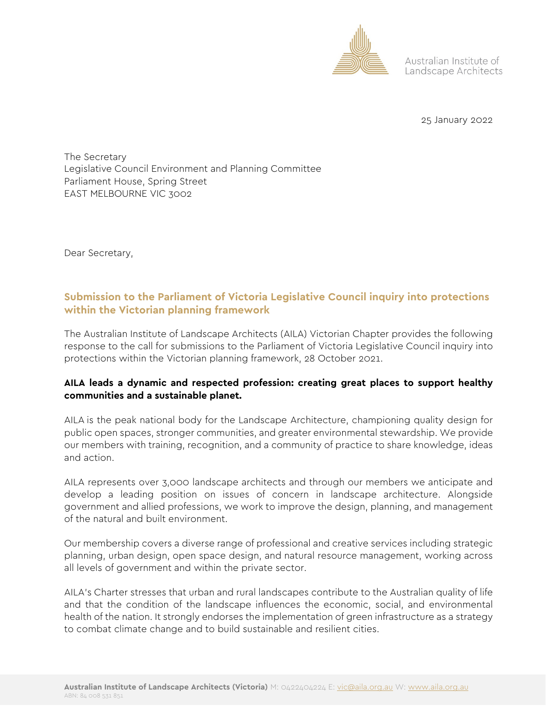

Australian Institute of Landscape Architects

25 January 2022

The Secretary Legislative Council Environment and Planning Committee Parliament House, Spring Street EAST MELBOURNE VIC 3002

Dear Secretary,

# **Submission to the Parliament of Victoria Legislative Council inquiry into protections within the Victorian planning framework**

The Australian Institute of Landscape Architects (AILA) Victorian Chapter provides the following response to the call for submissions to the Parliament of Victoria Legislative Council inquiry into protections within the Victorian planning framework, 28 October 2021.

# **AILA leads a dynamic and respected profession: creating great places to support healthy communities and a sustainable planet.**

AILA is the peak national body for the Landscape Architecture, championing quality design for public open spaces, stronger communities, and greater environmental stewardship. We provide our members with training, recognition, and a community of practice to share knowledge, ideas and action.

AILA represents over 3,000 landscape architects and through our members we anticipate and develop a leading position on issues of concern in landscape architecture. Alongside government and allied professions, we work to improve the design, planning, and management of the natural and built environment.

Our membership covers a diverse range of professional and creative services including strategic planning, urban design, open space design, and natural resource management, working across all levels of government and within the private sector.

AILA's Charter stresses that urban and rural landscapes contribute to the Australian quality of life and that the condition of the landscape influences the economic, social, and environmental health of the nation. It strongly endorses the implementation of green infrastructure as a strategy to combat climate change and to build sustainable and resilient cities.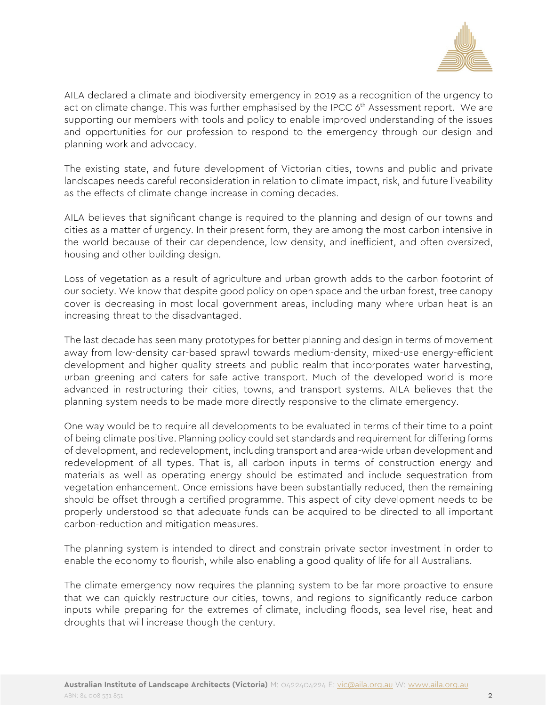

AILA declared a climate and biodiversity emergency in 2019 as a recognition of the urgency to act on climate change. This was further emphasised by the IPCC 6<sup>th</sup> Assessment report. We are supporting our members with tools and policy to enable improved understanding of the issues and opportunities for our profession to respond to the emergency through our design and planning work and advocacy.

The existing state, and future development of Victorian cities, towns and public and private landscapes needs careful reconsideration in relation to climate impact, risk, and future liveability as the effects of climate change increase in coming decades.

AILA believes that significant change is required to the planning and design of our towns and cities as a matter of urgency. In their present form, they are among the most carbon intensive in the world because of their car dependence, low density, and inefficient, and often oversized, housing and other building design.

Loss of vegetation as a result of agriculture and urban growth adds to the carbon footprint of our society. We know that despite good policy on open space and the urban forest, tree canopy cover is decreasing in most local government areas, including many where urban heat is an increasing threat to the disadvantaged.

The last decade has seen many prototypes for better planning and design in terms of movement away from low-density car-based sprawl towards medium-density, mixed-use energy-efficient development and higher quality streets and public realm that incorporates water harvesting, urban greening and caters for safe active transport. Much of the developed world is more advanced in restructuring their cities, towns, and transport systems. AILA believes that the planning system needs to be made more directly responsive to the climate emergency.

One way would be to require all developments to be evaluated in terms of their time to a point of being climate positive. Planning policy could set standards and requirement for differing forms of development, and redevelopment, including transport and area-wide urban development and redevelopment of all types. That is, all carbon inputs in terms of construction energy and materials as well as operating energy should be estimated and include sequestration from vegetation enhancement. Once emissions have been substantially reduced, then the remaining should be offset through a certified programme. This aspect of city development needs to be properly understood so that adequate funds can be acquired to be directed to all important carbon-reduction and mitigation measures.

The planning system is intended to direct and constrain private sector investment in order to enable the economy to flourish, while also enabling a good quality of life for all Australians.

The climate emergency now requires the planning system to be far more proactive to ensure that we can quickly restructure our cities, towns, and regions to significantly reduce carbon inputs while preparing for the extremes of climate, including floods, sea level rise, heat and droughts that will increase though the century.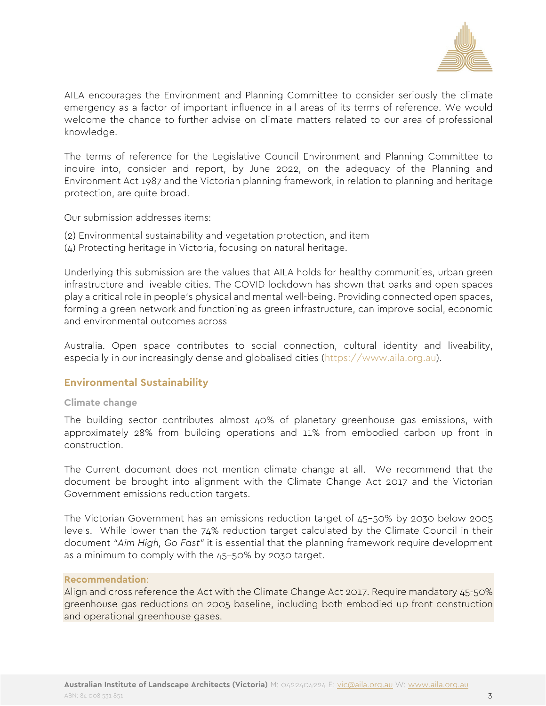

AILA encourages the Environment and Planning Committee to consider seriously the climate emergency as a factor of important influence in all areas of its terms of reference. We would welcome the chance to further advise on climate matters related to our area of professional knowledge.

The terms of reference for the Legislative Council Environment and Planning Committee to inquire into, consider and report, by June 2022, on the adequacy of the Planning and Environment Act 1987 and the Victorian planning framework, in relation to planning and heritage protection, are quite broad.

Our submission addresses items:

- (2) Environmental sustainability and vegetation protection, and item
- (4) Protecting heritage in Victoria, focusing on natural heritage.

Underlying this submission are the values that AILA holds for healthy communities, urban green infrastructure and liveable cities. The COVID lockdown has shown that parks and open spaces play a critical role in people's physical and mental well-being. Providing connected open spaces, forming a green network and functioning as green infrastructure, can improve social, economic and environmental outcomes across

Australia. Open space contributes to social connection, cultural identity and liveability, especially in our increasingly dense and globalised cities [\(https://www.aila.org.au\)](https://www.aila.org.au/).

## **Environmental Sustainability**

#### **Climate change**

The building sector [contributes almost 40% of planetary greenhouse](https://architecture2030.org/why-the-building-sector/) gas emissions, with approximately 28% from building operations and 11% from embodied carbon up front in construction.

The Current document does not mention climate change at all. We recommend that the document be brought into alignment with the [Climate Change Act 2017](https://www.climatechange.vic.gov.au/legislation/climate-change-act-2017) and the Victorian Government emissions reduction targets.

The Victorian Government has an emissions reduction target of 45–50% by 2030 below 2005 levels. While lower than the 74% reduction target calculated by the Climate Council in their document *["Aim High, Go Fast"](https://www.climatecouncil.org.au/resources/net-zero-emissions-plummet-decade/)* it is essential that the planning framework require development as a minimum to comply with the 45–50% by 2030 target.

#### **Recommendation**:

Align and cross reference the Act with the Climate Change Act 2017. Require mandatory 45-50% greenhouse gas reductions on 2005 baseline, including both embodied up front construction and operational greenhouse gases.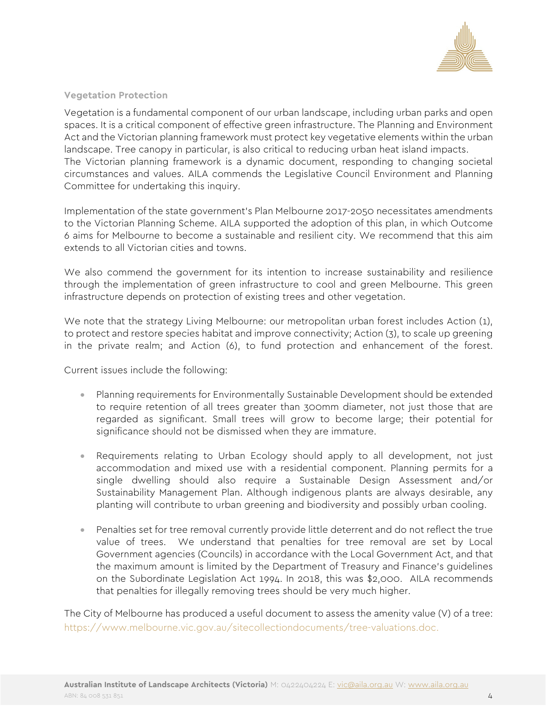

## **Vegetation Protection**

Vegetation is a fundamental component of our urban landscape, including urban parks and open spaces. It is a critical component of effective green infrastructure. The Planning and Environment Act and the Victorian planning framework must protect key vegetative elements within the urban landscape. Tree canopy in particular, is also critical to reducing urban heat island impacts. The Victorian planning framework is a dynamic document, responding to changing societal circumstances and values. AILA commends the Legislative Council Environment and Planning Committee for undertaking this inquiry.

Implementation of the state government's Plan Melbourne 2017-2050 necessitates amendments to the Victorian Planning Scheme. AILA supported the adoption of this plan, in which Outcome 6 aims for Melbourne to become a sustainable and resilient city. We recommend that this aim extends to all Victorian cities and towns.

We also commend the government for its intention to increase sustainability and resilience through the implementation of green infrastructure to cool and green Melbourne. This green infrastructure depends on protection of existing trees and other vegetation.

We note that the strategy Living Melbourne: our metropolitan urban forest includes Action (1), to protect and restore species habitat and improve connectivity; Action (3), to scale up greening in the private realm; and Action (6), to fund protection and enhancement of the forest.

Current issues include the following:

- Planning requirements for Environmentally Sustainable Development should be extended to require retention of all trees greater than 300mm diameter, not just those that are regarded as significant. Small trees will grow to become large; their potential for significance should not be dismissed when they are immature.
- Requirements relating to Urban Ecology should apply to all development, not just accommodation and mixed use with a residential component. Planning permits for a single dwelling should also require a Sustainable Design Assessment and/or Sustainability Management Plan. Although indigenous plants are always desirable, any planting will contribute to urban greening and biodiversity and possibly urban cooling.
- Penalties set for tree removal currently provide little deterrent and do not reflect the true value of trees. We understand that penalties for tree removal are set by Local Government agencies (Councils) in accordance with the Local Government Act, and that the maximum amount is limited by the Department of Treasury and Finance's guidelines on the Subordinate Legislation Act 1994. In 2018, this was \$2,000. AILA recommends that penalties for illegally removing trees should be very much higher.

The City of Melbourne has produced a useful document to assess the amenity value (V) of a tree: [https://www.melbourne.vic.gov.au/sitecollectiondocuments/tree-valuations.doc.](https://www.melbourne.vic.gov.au/sitecollectiondocuments/tree-valuations.doc)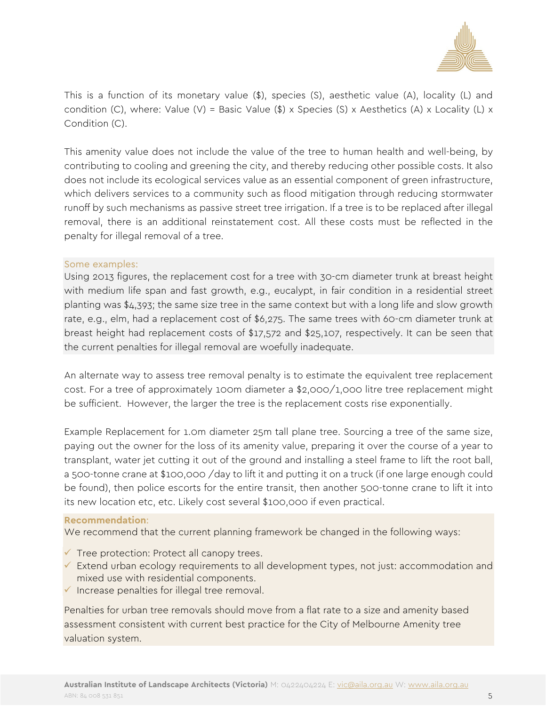

This is a function of its monetary value (\$), species (S), aesthetic value (A), locality (L) and condition (C), where: Value (V) = Basic Value (\$) x Species (S) x Aesthetics (A) x Locality (L) x Condition (C).

This amenity value does not include the value of the tree to human health and well-being, by contributing to cooling and greening the city, and thereby reducing other possible costs. It also does not include its ecological services value as an essential component of green infrastructure, which delivers services to a community such as flood mitigation through reducing stormwater runoff by such mechanisms as passive street tree irrigation. If a tree is to be replaced after illegal removal, there is an additional reinstatement cost. All these costs must be reflected in the penalty for illegal removal of a tree.

#### Some examples:

Using 2013 figures, the replacement cost for a tree with 30-cm diameter trunk at breast height with medium life span and fast growth, e.g., eucalypt, in fair condition in a residential street planting was \$4,393; the same size tree in the same context but with a long life and slow growth rate, e.g., elm, had a replacement cost of \$6,275. The same trees with 60-cm diameter trunk at breast height had replacement costs of \$17,572 and \$25,107, respectively. It can be seen that the current penalties for illegal removal are woefully inadequate.

An alternate way to assess tree removal penalty is to estimate the equivalent tree replacement cost. For a tree of approximately 100m diameter a \$2,000/1,000 litre tree replacement might be sufficient. However, the larger the tree is the replacement costs rise exponentially.

Example Replacement for 1.0m diameter 25m tall plane tree. Sourcing a tree of the same size, paying out the owner for the loss of its amenity value, preparing it over the course of a year to transplant, water jet cutting it out of the ground and installing a steel frame to lift the root ball, a 500-tonne crane at \$100,000 /day to lift it and putting it on a truck (if one large enough could be found), then police escorts for the entire transit, then another 500-tonne crane to lift it into its new location etc, etc. Likely cost several \$100,000 if even practical.

#### **Recommendation**:

We recommend that the current planning framework be changed in the following ways:

- $\checkmark$  Tree protection: Protect all canopy trees.
- $\checkmark$  Extend urban ecology requirements to all development types, not just: accommodation and mixed use with residential components.
- $\checkmark$  Increase penalties for illegal tree removal.

Penalties for urban tree removals should move from a flat rate to a size and amenity based assessment consistent with current best practice for the City of Melbourne Amenity tree valuation system.